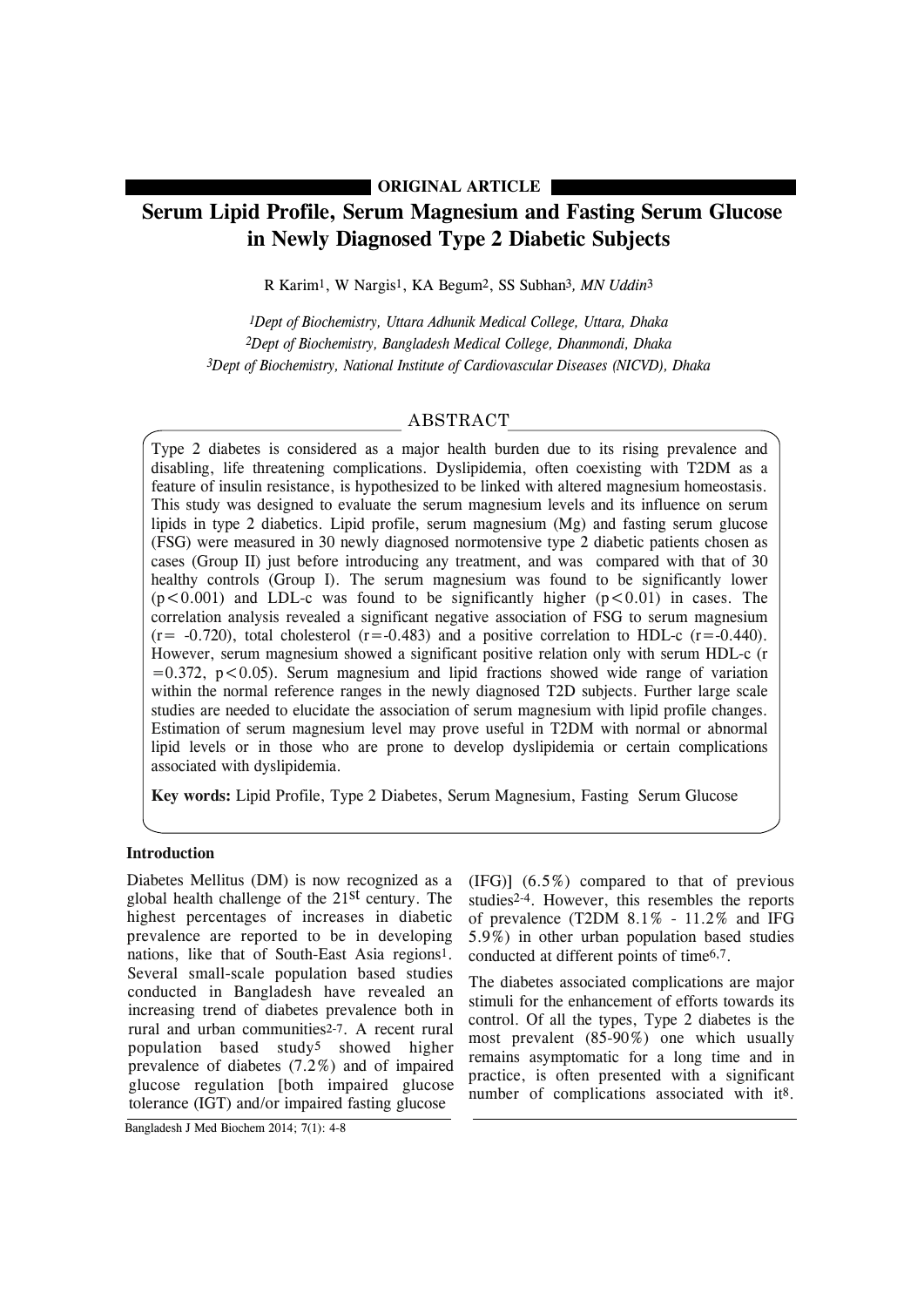# **ORIGINAL ARTICLE**

# **Serum Lipid Profile, Serum Magnesium and Fasting Serum Glucose in Newly Diagnosed Type 2 Diabetic Subjects**

R Karim1, W Nargis1, KA Begum2, SS Subhan3*, MN Uddin*3

*1Dept of Biochemistry, Uttara Adhunik Medical College, Uttara, Dhaka 2Dept of Biochemistry, Bangladesh Medical College, Dhanmondi, Dhaka 3Dept of Biochemistry, National Institute of Cardiovascular Diseases (NICVD), Dhaka*

# ABSTRACT

Type 2 diabetes is considered as a major health burden due to its rising prevalence and disabling, life threatening complications. Dyslipidemia, often coexisting with T2DM as a feature of insulin resistance, is hypothesized to be linked with altered magnesium homeostasis. This study was designed to evaluate the serum magnesium levels and its influence on serum lipids in type 2 diabetics. Lipid profile, serum magnesium (Mg) and fasting serum glucose (FSG) were measured in 30 newly diagnosed normotensive type 2 diabetic patients chosen as cases (Group II) just before introducing any treatment, and was compared with that of 30 healthy controls (Group I). The serum magnesium was found to be significantly lower  $(p<0.001)$  and LDL-c was found to be significantly higher  $(p<0.01)$  in cases. The correlation analysis revealed a significant negative association of FSG to serum magnesium  $(r=-0.720)$ , total cholesterol  $(r=-0.483)$  and a positive correlation to HDL-c  $(r=-0.440)$ . However, serum magnesium showed a significant positive relation only with serum HDL-c (r  $=0.372$ ,  $p < 0.05$ ). Serum magnesium and lipid fractions showed wide range of variation within the normal reference ranges in the newly diagnosed T2D subjects. Further large scale studies are needed to elucidate the association of serum magnesium with lipid profile changes. Estimation of serum magnesium level may prove useful in T2DM with normal or abnormal lipid levels or in those who are prone to develop dyslipidemia or certain complications associated with dyslipidemia.

**Key words:** Lipid Profile, Type 2 Diabetes, Serum Magnesium, Fasting Serum Glucose

#### **Introduction**

Diabetes Mellitus (DM) is now recognized as a global health challenge of the 21st century. The highest percentages of increases in diabetic prevalence are reported to be in developing nations, like that of South-East Asia regions1. Several small-scale population based studies conducted in Bangladesh have revealed an increasing trend of diabetes prevalence both in rural and urban communities2-7. A recent rural population based study5 showed higher prevalence of diabetes (7.2%) and of impaired glucose regulation [both impaired glucose tolerance (IGT) and/or impaired fasting glucose

(IFG)] (6.5%) compared to that of previous studies2-4. However, this resembles the reports of prevalence (T2DM 8.1% - 11.2% and IFG 5.9%) in other urban population based studies conducted at different points of time6,7.

The diabetes associated complications are major stimuli for the enhancement of efforts towards its control. Of all the types, Type 2 diabetes is the most prevalent (85-90%) one which usually remains asymptomatic for a long time and in practice, is often presented with a significant number of complications associated with it8.

Bangladesh J Med Biochem 2014; 7(1): 4-8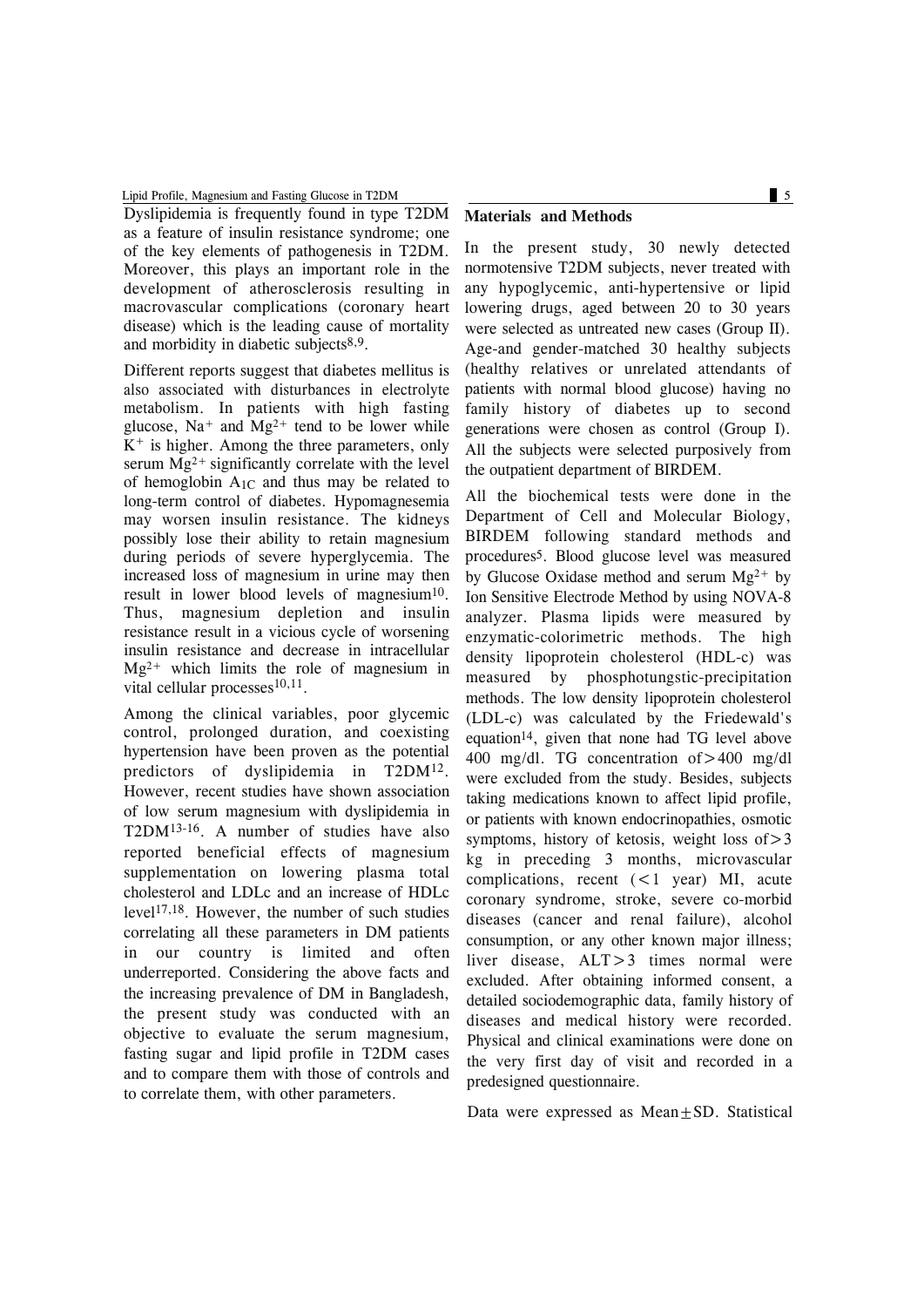Lipid Profile, Magnesium and Fasting Glucose in T2DM 5

Dyslipidemia is frequently found in type T2DM as a feature of insulin resistance syndrome; one of the key elements of pathogenesis in T2DM. Moreover, this plays an important role in the development of atherosclerosis resulting in macrovascular complications (coronary heart disease) which is the leading cause of mortality and morbidity in diabetic subjects8,9.

Different reports suggest that diabetes mellitus is also associated with disturbances in electrolyte metabolism. In patients with high fasting glucose,  $Na^+$  and  $Mg^{2+}$  tend to be lower while  $K^+$  is higher. Among the three parameters, only serum  $Mg^{2+}$  significantly correlate with the level of hemoglobin  $A_{1C}$  and thus may be related to long-term control of diabetes. Hypomagnesemia may worsen insulin resistance. The kidneys possibly lose their ability to retain magnesium during periods of severe hyperglycemia. The increased loss of magnesium in urine may then result in lower blood levels of magnesium10. Thus, magnesium depletion and insulin resistance result in a vicious cycle of worsening insulin resistance and decrease in intracellular  $Mg^{2+}$  which limits the role of magnesium in vital cellular processes<sup>10,11</sup>.

Among the clinical variables, poor glycemic control, prolonged duration, and coexisting hypertension have been proven as the potential predictors of dyslipidemia in T2DM12. However, recent studies have shown association of low serum magnesium with dyslipidemia in T2DM13-16. A number of studies have also reported beneficial effects of magnesium supplementation on lowering plasma total cholesterol and LDLc and an increase of HDLc level 17,18. However, the number of such studies correlating all these parameters in DM patients in our country is limited and often underreported. Considering the above facts and the increasing prevalence of DM in Bangladesh, the present study was conducted with an objective to evaluate the serum magnesium, fasting sugar and lipid profile in T2DM cases and to compare them with those of controls and to correlate them, with other parameters.

# **Materials and Methods**

In the present study, 30 newly detected normotensive T2DM subjects, never treated with any hypoglycemic, anti-hypertensive or lipid lowering drugs, aged between 20 to 30 years were selected as untreated new cases (Group II). Age-and gender-matched 30 healthy subjects (healthy relatives or unrelated attendants of patients with normal blood glucose) having no family history of diabetes up to second generations were chosen as control (Group I). All the subjects were selected purposively from the outpatient department of BIRDEM.

All the biochemical tests were done in the Department of Cell and Molecular Biology, BIRDEM following standard methods and procedures5. Blood glucose level was measured by Glucose Oxidase method and serum  $Mg^{2+}$  by Ion Sensitive Electrode Method by using NOVA-8 analyzer. Plasma lipids were measured by enzymatic-colorimetric methods. The high density lipoprotein cholesterol (HDL-c) was measured by phosphotungstic-precipitation methods. The low density lipoprotein cholesterol (LDL-c) was calculated by the Friedewald's equation14, given that none had TG level above 400 mg/dl. TG concentration of>400 mg/dl were excluded from the study. Besides, subjects taking medications known to affect lipid profile, or patients with known endocrinopathies, osmotic symptoms, history of ketosis, weight loss of>3 kg in preceding 3 months, microvascular complications, recent  $(<1$  year) MI, acute coronary syndrome, stroke, severe co-morbid diseases (cancer and renal failure), alcohol consumption, or any other known major illness; liver disease, ALT>3 times normal were excluded. After obtaining informed consent, a detailed sociodemographic data, family history of diseases and medical history were recorded. Physical and clinical examinations were done on the very first day of visit and recorded in a predesigned questionnaire.

Data were expressed as  $Mean \pm SD$ . Statistical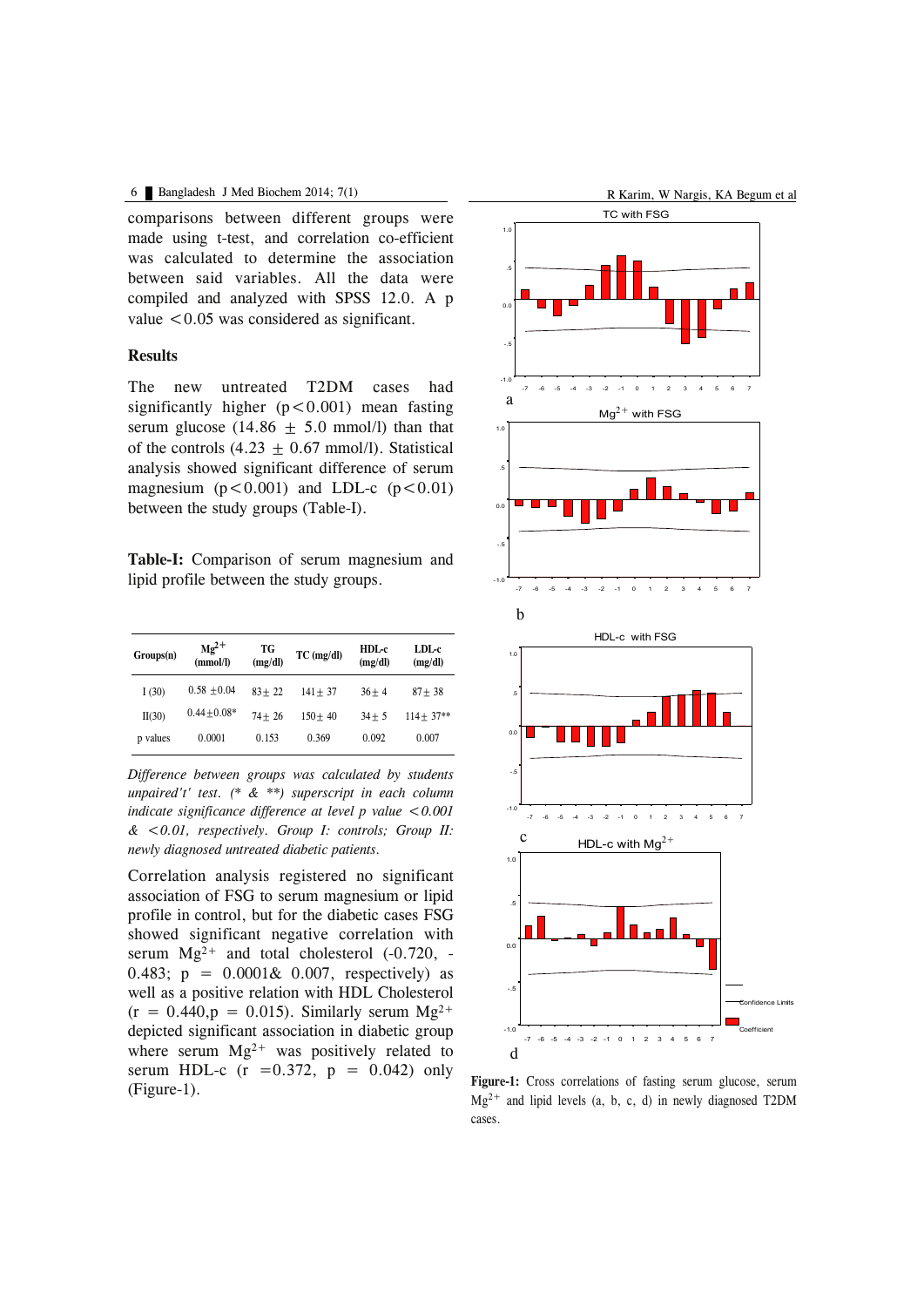comparisons between different groups were made using t-test, and correlation co-efficient was calculated to determine the association between said variables. All the data were compiled and analyzed with SPSS 12.0. A p value  $< 0.05$  was considered as significant.

## **Results**

The new untreated T2DM cases had significantly higher  $(p < 0.001)$  mean fasting serum glucose (14.86  $\pm$  5.0 mmol/l) than that of the controls  $(4.23 \pm 0.67 \text{ mmol/l})$ . Statistical analysis showed significant difference of serum magnesium  $(p<0.001)$  and LDL-c  $(p<0.01)$ between the study groups (Table-I).

**Table-I:** Comparison of serum magnesium and lipid profile between the study groups.

| Groups(n) | $Mg^{2+}$<br>(mmol/l) | TG<br>(mg/dl) | $TC$ (mg/dl) | HD <sub>CC</sub><br>(mg/dl) | LDL-c<br>(mg/dl) |
|-----------|-----------------------|---------------|--------------|-----------------------------|------------------|
| I(30)     | $0.58 + 0.04$         | $83 + 22$     | $141 + 37$   | $36+4$                      | $87 + 38$        |
| II(30)    | $0.44 + 0.08*$        | $74 + 26$     | $150 + 40$   | $34 + 5$                    | $114 + 37**$     |
| p values  | 0.0001                | 0.153         | 0.369        | 0.092                       | 0.007            |

*Difference between groups was calculated by students unpaired't' test. (\* & \*\*) superscript in each column indicate significance difference at level p value <0.001 & <0.01, respectively. Group I: controls; Group II: newly diagnosed untreated diabetic patients.*

Correlation analysis registered no significant association of FSG to serum magnesium or lipid profile in control, but for the diabetic cases FSG showed significant negative correlation with serum  $Mg^{2+}$  and total cholesterol (-0.720, -0.483;  $p = 0.0001\& 0.007$ , respectively) as well as a positive relation with HDL Cholesterol  $(r = 0.440, p = 0.015)$ . Similarly serum Mg<sup>2+</sup> depicted significant association in diabetic group where serum  $Mg^{2+}$  was positively related to serum HDL-c  $(r = 0.372, p = 0.042)$  only (Figure-1).



**Figure-1:** Cross correlations of fasting serum glucose, serum  $Mg^{2+}$  and lipid levels (a, b, c, d) in newly diagnosed T2DM cases.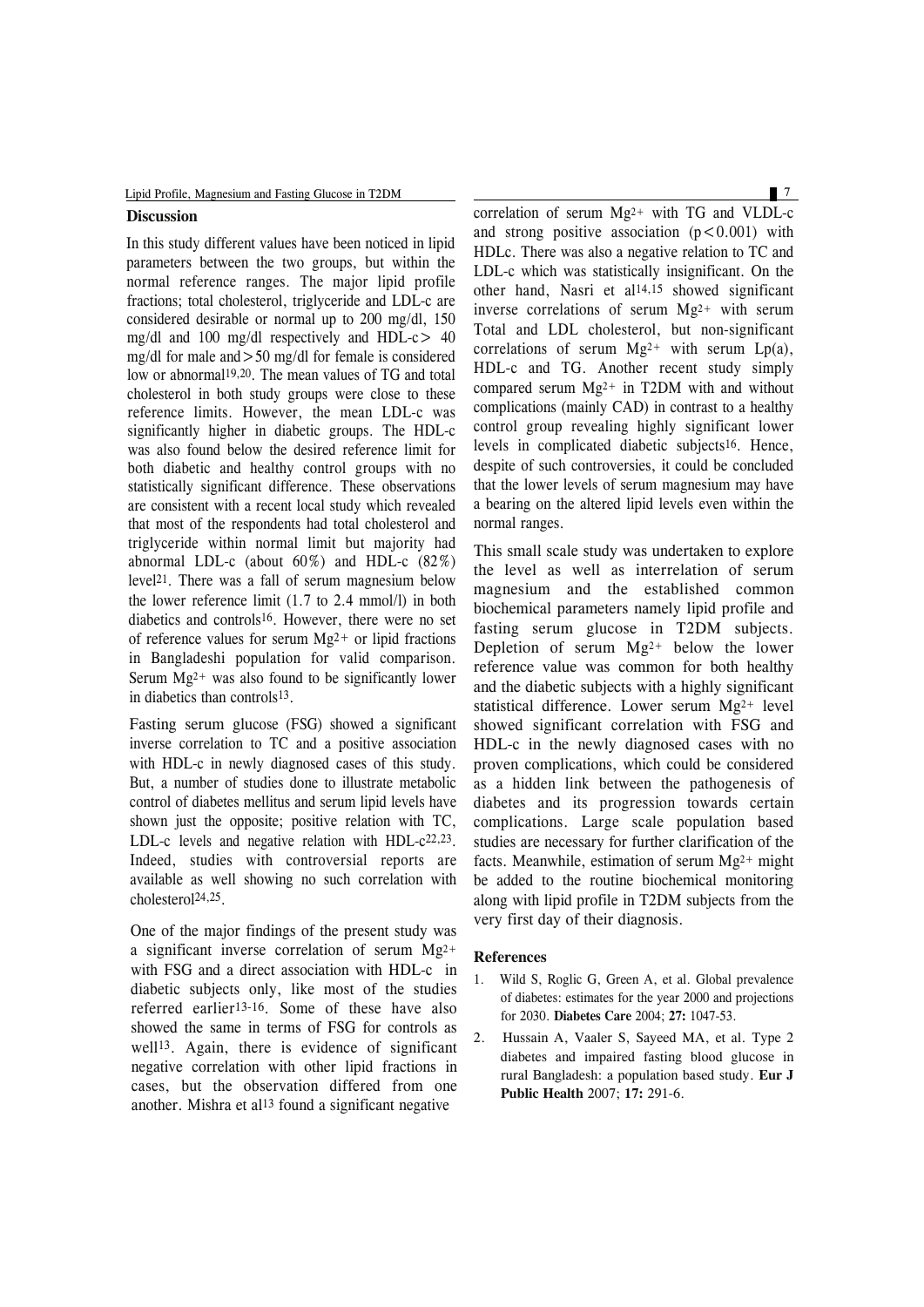# **Discussion**

In this study different values have been noticed in lipid parameters between the two groups, but within the normal reference ranges. The major lipid profile fractions; total cholesterol, triglyceride and LDL-c are considered desirable or normal up to 200 mg/dl, 150 mg/dl and 100 mg/dl respectively and HDL-c> 40 mg/dl for male and>50 mg/dl for female is considered low or abnormal19,20. The mean values of TG and total cholesterol in both study groups were close to these reference limits. However, the mean LDL-c was significantly higher in diabetic groups. The HDL-c was also found below the desired reference limit for both diabetic and healthy control groups with no statistically significant difference. These observations are consistent with a recent local study which revealed that most of the respondents had total cholesterol and triglyceride within normal limit but majority had abnormal LDL-c (about 60%) and HDL-c (82%) level21. There was a fall of serum magnesium below the lower reference limit (1.7 to 2.4 mmol/l) in both diabetics and controls16. However, there were no set of reference values for serum  $Mg^{2+}$  or lipid fractions in Bangladeshi population for valid comparison. Serum  $Mg^{2+}$  was also found to be significantly lower in diabetics than controls13.

Fasting serum glucose (FSG) showed a significant inverse correlation to TC and a positive association with HDL-c in newly diagnosed cases of this study. But, a number of studies done to illustrate metabolic control of diabetes mellitus and serum lipid levels have shown just the opposite; positive relation with TC, LDL-c levels and negative relation with HDL-c22,23. Indeed, studies with controversial reports are available as well showing no such correlation with cholesterol24,25.

One of the major findings of the present study was a significant inverse correlation of serum Mg2+ with FSG and a direct association with HDL-c in diabetic subjects only, like most of the studies referred earlier13-16. Some of these have also showed the same in terms of FSG for controls as well13. Again, there is evidence of significant negative correlation with other lipid fractions in cases, but the observation differed from one another. Mishra et al13 found a significant negative

correlation of serum Mg2+ with TG and VLDL-c and strong positive association  $(p < 0.001)$  with HDLc. There was also a negative relation to TC and LDL-c which was statistically insignificant. On the other hand, Nasri et al14,15 showed significant inverse correlations of serum Mg2+ with serum Total and LDL cholesterol, but non-significant correlations of serum  $Mg^{2+}$  with serum  $Lp(a)$ , HDL-c and TG. Another recent study simply compared serum  $Mg^{2+}$  in T2DM with and without complications (mainly CAD) in contrast to a healthy control group revealing highly significant lower levels in complicated diabetic subjects16. Hence, despite of such controversies, it could be concluded that the lower levels of serum magnesium may have a bearing on the altered lipid levels even within the normal ranges.

This small scale study was undertaken to explore the level as well as interrelation of serum magnesium and the established common biochemical parameters namely lipid profile and fasting serum glucose in T2DM subjects. Depletion of serum  $Mg^{2+}$  below the lower reference value was common for both healthy and the diabetic subjects with a highly significant statistical difference. Lower serum Mg2+ level showed significant correlation with FSG and HDL-c in the newly diagnosed cases with no proven complications, which could be considered as a hidden link between the pathogenesis of diabetes and its progression towards certain complications. Large scale population based studies are necessary for further clarification of the facts. Meanwhile, estimation of serum Mg2+ might be added to the routine biochemical monitoring along with lipid profile in T2DM subjects from the very first day of their diagnosis.

## **References**

- 1. Wild S, Roglic G, Green A, et al. Global prevalence of diabetes: estimates for the year 2000 and projections for 2030. **Diabetes Care** 2004; **27:** 1047-53.
- 2. Hussain A, Vaaler S, Sayeed MA, et al. Type 2 diabetes and impaired fasting blood glucose in rural Bangladesh: a population based study. **Eur J Public Health** 2007; **17:** 291-6.